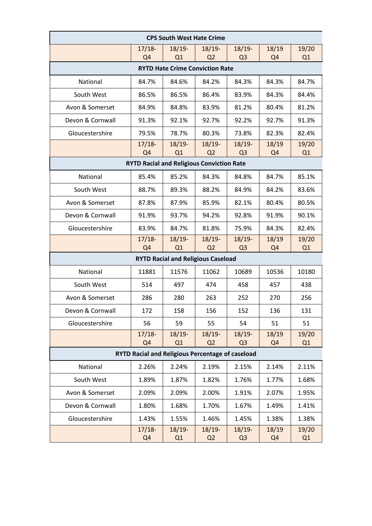| <b>CPS South West Hate Crime</b>                 |                            |                |                            |                             |                         |             |  |  |
|--------------------------------------------------|----------------------------|----------------|----------------------------|-----------------------------|-------------------------|-------------|--|--|
|                                                  | $17/18-$                   | $18/19-$       | $18/19-$                   | $18/19-$                    | 18/19                   | 19/20       |  |  |
|                                                  | Q <sub>4</sub>             | Q <sub>1</sub> | Q <sub>2</sub>             | Q <sub>3</sub>              | Q <sub>4</sub>          | Q1          |  |  |
| <b>RYTD Hate Crime Conviction Rate</b>           |                            |                |                            |                             |                         |             |  |  |
| National                                         | 84.7%                      | 84.6%          | 84.2%                      | 84.3%                       | 84.3%                   | 84.7%       |  |  |
| South West                                       | 86.5%                      | 86.5%          | 86.4%                      | 83.9%                       | 84.3%                   | 84.4%       |  |  |
| Avon & Somerset                                  | 84.9%                      | 84.8%          | 83.9%                      | 81.2%                       | 80.4%                   | 81.2%       |  |  |
| Devon & Cornwall                                 | 91.3%                      | 92.1%          | 92.7%                      | 92.2%                       | 92.7%                   | 91.3%       |  |  |
| Gloucestershire                                  | 79.5%                      | 78.7%          | 80.3%                      | 73.8%                       | 82.3%                   | 82.4%       |  |  |
|                                                  | $17/18-$<br>Q <sub>4</sub> | $18/19-$<br>Q1 | $18/19-$<br>Q <sub>2</sub> | $18/19-$<br>Q <sub>3</sub>  | 18/19<br>Q <sub>4</sub> | 19/20<br>Q1 |  |  |
| <b>RYTD Racial and Religious Conviction Rate</b> |                            |                |                            |                             |                         |             |  |  |
| National                                         | 85.4%                      | 85.2%          | 84.3%                      | 84.8%                       | 84.7%                   | 85.1%       |  |  |
| South West                                       | 88.7%                      | 89.3%          | 88.2%                      | 84.9%                       | 84.2%                   | 83.6%       |  |  |
| Avon & Somerset                                  | 87.8%                      | 87.9%          | 85.9%                      | 82.1%                       | 80.4%                   | 80.5%       |  |  |
| Devon & Cornwall                                 | 91.9%                      | 93.7%          | 94.2%                      | 92.8%                       | 91.9%                   | 90.1%       |  |  |
| Gloucestershire                                  | 83.9%                      | 84.7%          | 81.8%                      | 75.9%                       | 84.3%                   | 82.4%       |  |  |
|                                                  | $17/18-$<br>Q <sub>4</sub> | $18/19-$<br>Q1 | $18/19-$<br>Q <sub>2</sub> | $18/19-$<br>Q <sub>3</sub>  | 18/19<br>Q <sub>4</sub> | 19/20<br>Q1 |  |  |
| <b>RYTD Racial and Religious Caseload</b>        |                            |                |                            |                             |                         |             |  |  |
| National                                         | 11881                      | 11576          | 11062                      | 10689                       | 10536                   | 10180       |  |  |
| South West                                       | 514                        | 497            | 474                        | 458                         | 457                     | 438         |  |  |
| Avon & Somerset                                  | 286                        | 280            | 263                        | 252                         | 270                     | 256         |  |  |
| Devon & Cornwall                                 | 172                        | 158            | 156                        | 152                         | 136                     | 131         |  |  |
| Gloucestershire                                  | 56                         | 59             | 55                         | 54                          | 51                      | 51          |  |  |
|                                                  | $17/18-$<br>Q <sub>4</sub> | $18/19-$<br>Q1 | $18/19-$<br>Q <sub>2</sub> | $18/19 -$<br>Q <sub>3</sub> | 18/19<br>Q <sub>4</sub> | 19/20<br>Q1 |  |  |
| RYTD Racial and Religious Percentage of caseload |                            |                |                            |                             |                         |             |  |  |
| National                                         | 2.26%                      | 2.24%          | 2.19%                      | 2.15%                       | 2.14%                   | 2.11%       |  |  |
| South West                                       | 1.89%                      | 1.87%          | 1.82%                      | 1.76%                       | 1.77%                   | 1.68%       |  |  |
| Avon & Somerset                                  | 2.09%                      | 2.09%          | 2.00%                      | 1.91%                       | 2.07%                   | 1.95%       |  |  |
| Devon & Cornwall                                 | 1.80%                      | 1.68%          | 1.70%                      | 1.67%                       | 1.49%                   | 1.41%       |  |  |
| Gloucestershire                                  | 1.43%                      | 1.55%          | 1.46%                      | 1.45%                       | 1.38%                   | 1.38%       |  |  |
|                                                  | $17/18-$<br>Q <sub>4</sub> | $18/19-$<br>Q1 | $18/19-$<br>Q <sub>2</sub> | $18/19-$<br>Q <sub>3</sub>  | 18/19<br>Q <sub>4</sub> | 19/20<br>Q1 |  |  |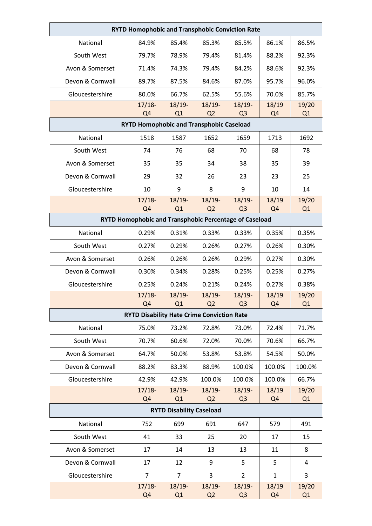| <b>RYTD Homophobic and Transphobic Conviction Rate</b>                                                                              |                                                   |                |                            |                            |                         |             |  |  |
|-------------------------------------------------------------------------------------------------------------------------------------|---------------------------------------------------|----------------|----------------------------|----------------------------|-------------------------|-------------|--|--|
| National                                                                                                                            | 84.9%                                             | 85.4%          | 85.3%                      | 85.5%                      | 86.1%                   | 86.5%       |  |  |
| South West                                                                                                                          | 79.7%                                             | 78.9%          | 79.4%                      | 81.4%                      | 88.2%                   | 92.3%       |  |  |
| Avon & Somerset                                                                                                                     | 71.4%                                             | 74.3%          | 79.4%                      | 84.2%                      | 88.6%                   | 92.3%       |  |  |
| Devon & Cornwall                                                                                                                    | 89.7%                                             | 87.5%          | 84.6%                      | 87.0%                      | 95.7%                   | 96.0%       |  |  |
| Gloucestershire                                                                                                                     | 80.0%                                             | 66.7%          | 62.5%                      | 55.6%                      | 70.0%                   | 85.7%       |  |  |
|                                                                                                                                     | $17/18-$                                          | $18/19-$       | $18/19-$                   | $18/19-$                   | 18/19                   | 19/20       |  |  |
| Q <sub>4</sub><br>Q <sub>2</sub><br>Q <sub>3</sub><br>Q1<br>Q <sub>4</sub><br>Q1<br><b>RYTD Homophobic and Transphobic Caseload</b> |                                                   |                |                            |                            |                         |             |  |  |
| National                                                                                                                            | 1518                                              | 1587           | 1652                       | 1659                       | 1713                    | 1692        |  |  |
| South West                                                                                                                          | 74                                                | 76             | 68                         | 70                         | 68                      | 78          |  |  |
| Avon & Somerset                                                                                                                     | 35                                                | 35             | 34                         | 38                         | 35                      | 39          |  |  |
| Devon & Cornwall                                                                                                                    | 29                                                | 32             | 26                         | 23                         | 23                      | 25          |  |  |
| Gloucestershire                                                                                                                     | 10                                                | 9              | 8                          | 9                          | 10                      | 14          |  |  |
|                                                                                                                                     | $17/18-$                                          | $18/19 -$      | $18/19 -$                  | $18/19-$                   | 18/19                   | 19/20       |  |  |
|                                                                                                                                     | Q <sub>4</sub>                                    | Q1             | Q <sub>2</sub>             | Q <sub>3</sub>             | Q <sub>4</sub>          | Q1          |  |  |
| RYTD Homophobic and Transphobic Percentage of Caseload                                                                              |                                                   |                |                            |                            |                         |             |  |  |
| National                                                                                                                            | 0.29%                                             | 0.31%          | 0.33%                      | 0.33%                      | 0.35%                   | 0.35%       |  |  |
| South West                                                                                                                          | 0.27%                                             | 0.29%          | 0.26%                      | 0.27%                      | 0.26%                   | 0.30%       |  |  |
| Avon & Somerset                                                                                                                     | 0.26%                                             | 0.26%          | 0.26%                      | 0.29%                      | 0.27%                   | 0.30%       |  |  |
| Devon & Cornwall                                                                                                                    | 0.30%                                             | 0.34%          | 0.28%                      | 0.25%                      | 0.25%                   | 0.27%       |  |  |
| Gloucestershire                                                                                                                     | 0.25%                                             | 0.24%          | 0.21%                      | 0.24%                      | 0.27%                   | 0.38%       |  |  |
|                                                                                                                                     | $17/18-$<br>Q <sub>4</sub>                        | $18/19-$<br>Q1 | $18/19-$<br>Q <sub>2</sub> | $18/19-$<br>Q <sub>3</sub> | 18/19<br>Q <sub>4</sub> | 19/20<br>Q1 |  |  |
|                                                                                                                                     | <b>RYTD Disability Hate Crime Conviction Rate</b> |                |                            |                            |                         |             |  |  |
| National                                                                                                                            | 75.0%                                             | 73.2%          | 72.8%                      | 73.0%                      | 72.4%                   | 71.7%       |  |  |
| South West                                                                                                                          | 70.7%                                             | 60.6%          | 72.0%                      | 70.0%                      | 70.6%                   | 66.7%       |  |  |
| Avon & Somerset                                                                                                                     | 64.7%                                             | 50.0%          | 53.8%                      | 53.8%                      | 54.5%                   | 50.0%       |  |  |
| Devon & Cornwall                                                                                                                    | 88.2%                                             | 83.3%          | 88.9%                      | 100.0%                     | 100.0%                  | 100.0%      |  |  |
| Gloucestershire                                                                                                                     | 42.9%                                             | 42.9%          | 100.0%                     | 100.0%                     | 100.0%                  | 66.7%       |  |  |
|                                                                                                                                     | $17/18-$                                          | $18/19-$       | $18/19-$                   | $18/19-$                   | 18/19                   | 19/20       |  |  |
| Q1<br>Q <sub>2</sub><br>Q <sub>3</sub><br>Q1<br>Q <sub>4</sub><br>Q <sub>4</sub><br><b>RYTD Disability Caseload</b>                 |                                                   |                |                            |                            |                         |             |  |  |
| National                                                                                                                            | 752                                               | 699            | 691                        | 647                        | 579                     | 491         |  |  |
| South West                                                                                                                          | 41                                                | 33             | 25                         | 20                         | 17                      | 15          |  |  |
| Avon & Somerset                                                                                                                     | 17                                                | 14             | 13                         | 13                         | 11                      | 8           |  |  |
| Devon & Cornwall                                                                                                                    | 17                                                | 12             | 9                          | 5                          | 5                       | 4           |  |  |
|                                                                                                                                     | $\overline{7}$                                    | $\overline{7}$ |                            |                            |                         |             |  |  |
| Gloucestershire                                                                                                                     | $17/18-$                                          | $18/19-$       | 3<br>$18/19-$              | $\overline{2}$<br>$18/19-$ | $\mathbf{1}$<br>18/19   | 3<br>19/20  |  |  |
|                                                                                                                                     | Q <sub>4</sub>                                    | Q1             | Q2                         | Q <sub>3</sub>             | Q <sub>4</sub>          | Q1          |  |  |